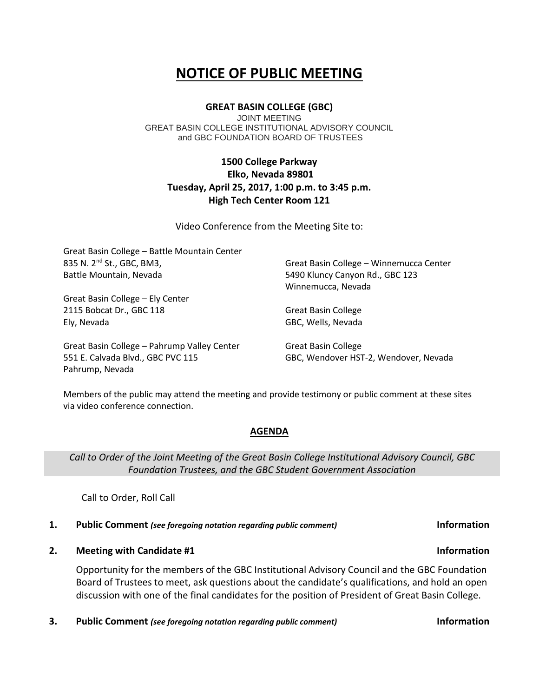# **NOTICE OF PUBLIC MEETING**

## **GREAT BASIN COLLEGE (GBC)**

JOINT MEETING GREAT BASIN COLLEGE INSTITUTIONAL ADVISORY COUNCIL and GBC FOUNDATION BOARD OF TRUSTEES

# **1500 College Parkway Elko, Nevada 89801 Tuesday, April 25, 2017, 1:00 p.m. to 3:45 p.m. High Tech Center Room 121**

Video Conference from the Meeting Site to:

| Great Basin College - Battle Mountain Center |                                         |
|----------------------------------------------|-----------------------------------------|
| 835 N. 2 <sup>nd</sup> St., GBC, BM3,        | Great Basin College - Winnemucca Center |
| Battle Mountain, Nevada                      | 5490 Kluncy Canyon Rd., GBC 123         |
|                                              | Winnemucca, Nevada                      |
| Great Basin College - Ely Center             |                                         |
| 2115 Bobcat Dr., GBC 118                     | <b>Great Basin College</b>              |
| Ely, Nevada                                  | GBC, Wells, Nevada                      |
| Great Basin College - Pahrump Valley Center  | Great Basin College                     |
| 551 E. Calvada Blvd., GBC PVC 115            | GBC, Wendover HST-2, Wendover, Nevada   |
| Pahrump, Nevada                              |                                         |

Members of the public may attend the meeting and provide testimony or public comment at these sites via video conference connection.

### **AGENDA**

*Call to Order of the Joint Meeting of the Great Basin College Institutional Advisory Council, GBC Foundation Trustees, and the GBC Student Government Association*

Call to Order, Roll Call

## **1. Public Comment** *(see foregoing notation regarding public comment)* **Information**

**2. Meeting with Candidate #1 Information**

Opportunity for the members of the GBC Institutional Advisory Council and the GBC Foundation Board of Trustees to meet, ask questions about the candidate's qualifications, and hold an open discussion with one of the final candidates for the position of President of Great Basin College.

**3. Public Comment** *(see foregoing notation regarding public comment)* **Information**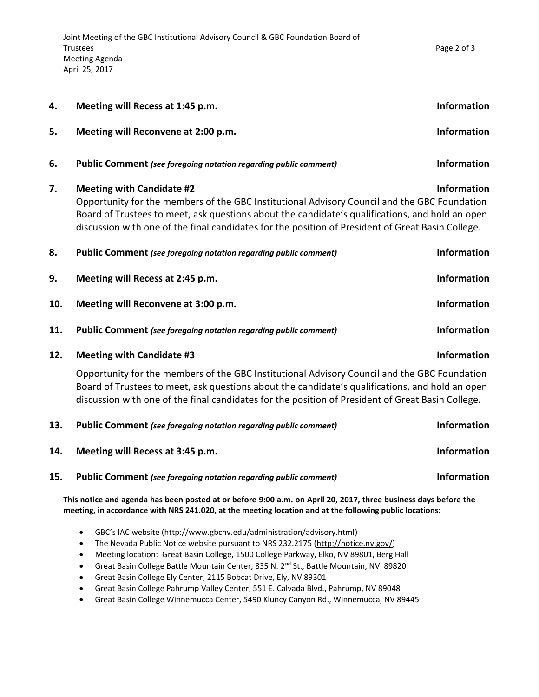| 4.  | Meeting will Recess at 1:45 p.m.                                                                                                                                                                                                                                                                                                         | <b>Information</b> |
|-----|------------------------------------------------------------------------------------------------------------------------------------------------------------------------------------------------------------------------------------------------------------------------------------------------------------------------------------------|--------------------|
| 5.  | Meeting will Reconvene at 2:00 p.m.                                                                                                                                                                                                                                                                                                      | <b>Information</b> |
| 6.  | <b>Public Comment</b> (see foregoing notation regarding public comment)                                                                                                                                                                                                                                                                  | <b>Information</b> |
| 7.  | <b>Meeting with Candidate #2</b><br>Opportunity for the members of the GBC Institutional Advisory Council and the GBC Foundation<br>Board of Trustees to meet, ask questions about the candidate's qualifications, and hold an open<br>discussion with one of the final candidates for the position of President of Great Basin College. | <b>Information</b> |
| 8.  | <b>Public Comment</b> (see foregoing notation regarding public comment)                                                                                                                                                                                                                                                                  | <b>Information</b> |
| 9.  | Meeting will Recess at 2:45 p.m.                                                                                                                                                                                                                                                                                                         | Information        |
| 10. | Meeting will Reconvene at 3:00 p.m.                                                                                                                                                                                                                                                                                                      | <b>Information</b> |
| 11. | <b>Public Comment</b> (see foregoing notation regarding public comment)                                                                                                                                                                                                                                                                  | <b>Information</b> |
| 12. | <b>Meeting with Candidate #3</b>                                                                                                                                                                                                                                                                                                         | <b>Information</b> |
|     | Opportunity for the members of the GBC Institutional Advisory Council and the GBC Foundation<br>Board of Trustees to meet, ask questions about the candidate's qualifications, and hold an open<br>discussion with one of the final candidates for the position of President of Great Basin College.                                     |                    |
| 13. | Public Comment (see foregoing notation regarding public comment)                                                                                                                                                                                                                                                                         | Information        |
| 14. | Meeting will Recess at 3:45 p.m.                                                                                                                                                                                                                                                                                                         | <b>Information</b> |

**15. Public Comment** *(see foregoing notation regarding public comment)* **Information**

**This notice and agenda has been posted at or before 9:00 a.m. on April 20, 2017, three business days before the meeting, in accordance with NRS 241.020, at the meeting location and at the following public locations:**

- GBC's IAC website (http://www.gbcnv.edu/administration/advisory.html)
- The Nevada Public Notice website pursuant to NRS 232.2175 [\(http://notice.nv.gov/\)](http://notice.nv.gov/)
- Meeting location: Great Basin College, 1500 College Parkway, Elko, NV 89801, Berg Hall
- Great Basin College Battle Mountain Center, 835 N. 2<sup>nd</sup> St., Battle Mountain, NV 89820
- Great Basin College Ely Center, 2115 Bobcat Drive, Ely, NV 89301
- Great Basin College Pahrump Valley Center, 551 E. Calvada Blvd., Pahrump, NV 89048
- Great Basin College Winnemucca Center, 5490 Kluncy Canyon Rd., Winnemucca, NV 89445